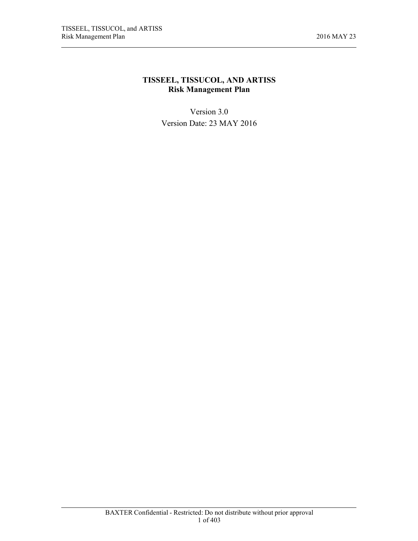# **TISSEEL, TISSUCOL, AND ARTISS Risk Management Plan**

Version 3.0 Version Date: 23 MAY 2016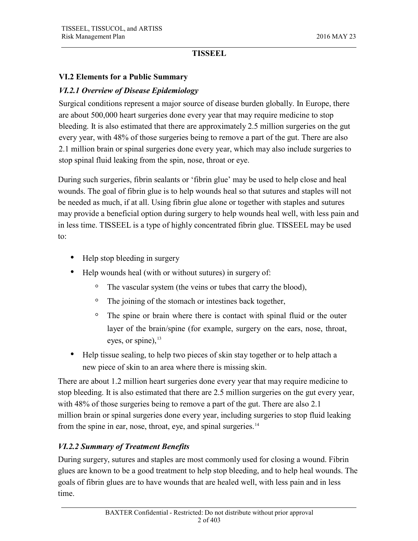### **TISSEEL**

### **VI.2 Elements for a Public Summary**

# *VI.2.1 Overview of Disease Epidemiology*

Surgical conditions represent a major source of disease burden globally. In Europe, there are about 500,000 heart surgeries done every year that may require medicine to stop bleeding. It is also estimated that there are approximately 2.5 million surgeries on the gut every year, with 48% of those surgeries being to remove a part of the gut. There are also 2.1 million brain or spinal surgeries done every year, which may also include surgeries to stop spinal fluid leaking from the spin, nose, throat or eye.

During such surgeries, fibrin sealants or 'fibrin glue' may be used to help close and heal wounds. The goal of fibrin glue is to help wounds heal so that sutures and staples will not be needed as much, if at all. Using fibrin glue alone or together with staples and sutures may provide a beneficial option during surgery to help wounds heal well, with less pain and in less time. TISSEEL is a type of highly concentrated fibrin glue. TISSEEL may be used to:

- Help stop bleeding in surgery
- Help wounds heal (with or without sutures) in surgery of:
	- The vascular system (the veins or tubes that carry the blood),
	- The joining of the stomach or intestines back together,
	- The spine or brain where there is contact with spinal fluid or the outer layer of the brain/spine (for example, surgery on the ears, nose, throat, eyes, or spine), <sup>13</sup>
- Help tissue sealing, to help two pieces of skin stay together or to help attach a new piece of skin to an area where there is missing skin.

There are about 1.2 million heart surgeries done every year that may require medicine to stop bleeding. It is also estimated that there are 2.5 million surgeries on the gut every year, with 48% of those surgeries being to remove a part of the gut. There are also 2.1 million brain or spinal surgeries done every year, including surgeries to stop fluid leaking from the spine in ear, nose, throat, eye, and spinal surgeries.<sup>14</sup>

# *VI.2.2 Summary of Treatment Benefits*

During surgery, sutures and staples are most commonly used for closing a wound. Fibrin glues are known to be a good treatment to help stop bleeding, and to help heal wounds. The goals of fibrin glues are to have wounds that are healed well, with less pain and in less time.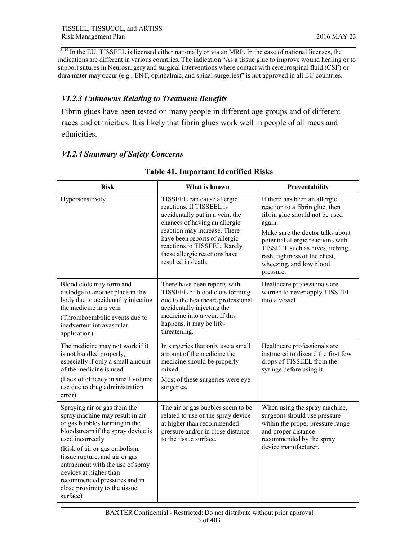<sup>13 14</sup> In the EU, TISSEEL is licensed either nationally or via an MRP. In the case of national licenses, the indications are different in various countries. The indication "As a tissue glue to improve wound healing or to support sutures in Neurosurgery and surgical interventions where contact with cerebrospinal fluid (CSF) or dura mater may occur (e.g., ENT, ophthalmic, and spinal surgeries)" is not approved in all EU countries.

# *VI.2.3 Unknowns Relating to Treatment Benefits*

Fibrin glues have been tested on many people in different age groups and of different races and ethnicities. It is likely that fibrin glues work well in people of all races and ethnicities.

### *VI.2.4 Summary of Safety Concerns*

| <b>Risk</b>                                                                                                                                                                                                                                                                                                                                                              | What is known                                                                                                                                                                                                                                                                      | Preventability                                                                                                                                                                                                                                                                                    |  |  |
|--------------------------------------------------------------------------------------------------------------------------------------------------------------------------------------------------------------------------------------------------------------------------------------------------------------------------------------------------------------------------|------------------------------------------------------------------------------------------------------------------------------------------------------------------------------------------------------------------------------------------------------------------------------------|---------------------------------------------------------------------------------------------------------------------------------------------------------------------------------------------------------------------------------------------------------------------------------------------------|--|--|
| Hypersensitivity                                                                                                                                                                                                                                                                                                                                                         | TISSEEL can cause allergic<br>reactions. If TISSEEL is<br>accidentally put in a vein, the<br>chances of having an allergic<br>reaction may increase. There<br>have been reports of allergic<br>reactions to TISSEEL. Rarely<br>these allergic reactions have<br>resulted in death. | If there has been an allergic<br>reaction to a fibrin glue, then<br>fibrin glue should not be used<br>again.<br>Make sure the doctor talks about<br>potential allergic reactions with<br>TISSEEL such as hives, itching,<br>rash, tightness of the chest,<br>wheezing, and low blood<br>pressure. |  |  |
| Blood clots may form and<br>dislodge to another place in the<br>body due to accidentally injecting<br>the medicine in a vein<br>(Thromboembolic events due to<br>inadvertent intravascular<br>application)                                                                                                                                                               | There have been reports with<br>TISSEEL of blood clots forming<br>due to the healthcare professional<br>accidentally injecting the<br>medicine into a vein. If this<br>happens, it may be life-<br>threatening.                                                                    | Healthcare professionals are<br>warned to never apply TISSEEL<br>into a vessel                                                                                                                                                                                                                    |  |  |
| The medicine may not work if it<br>is not handled properly,<br>especially if only a small amount<br>of the medicine is used.<br>(Lack of efficacy in small volume<br>use due to drug administration<br>error)                                                                                                                                                            | In surgeries that only use a small<br>amount of the medicine the<br>medicine should be properly<br>mixed.<br>Most of these surgeries were eye<br>surgeries.                                                                                                                        | Healthcare professionals are<br>instructed to discard the first few<br>drops of TISSEEL from the<br>syringe before using it.                                                                                                                                                                      |  |  |
| Spraying air or gas from the<br>spray machine may result in air<br>or gas bubbles forming in the<br>bloodstream if the spray device is<br>used incorrectly<br>(Risk of air or gas embolism,<br>tissue rupture, and air or gas<br>entrapment with the use of spray<br>devices at higher than<br>recommended pressures and in<br>close proximity to the tissue<br>surface) | The air or gas bubbles seem to be<br>related to use of the spray device<br>at higher than recommended<br>pressure and/or in close distance<br>to the tissue surface.                                                                                                               | When using the spray machine,<br>surgeons should use pressure<br>within the proper pressure range<br>and proper distance<br>recommended by the spray<br>device manufacturer.                                                                                                                      |  |  |

#### **Table 41. Important Identified Risks**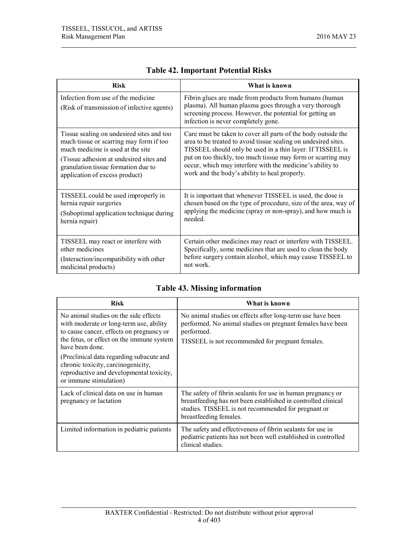| <b>Risk</b>                                                                      | What is known                                                                                                                                                                                                       |
|----------------------------------------------------------------------------------|---------------------------------------------------------------------------------------------------------------------------------------------------------------------------------------------------------------------|
| Infection from use of the medicine<br>(Risk of transmission of infective agents) | Fibrin glues are made from products from humans (human<br>plasma). All human plasma goes through a very thorough<br>screening process. However, the potential for getting an<br>infection is never completely gone. |
| Tissue sealing on undesired sites and too                                        | Care must be taken to cover all parts of the body outside the                                                                                                                                                       |
| much tissue or scarring may form if too                                          | area to be treated to avoid tissue sealing on undesired sites.                                                                                                                                                      |
| much medicine is used at the site                                                | TISSEEL should only be used in a thin layer. If TISSEEL is                                                                                                                                                          |
| (Tissue adhesion at undesired sites and                                          | put on too thickly, too much tissue may form or scarring may                                                                                                                                                        |
| granulation tissue formation due to                                              | occur, which may interfere with the medicine's ability to                                                                                                                                                           |
| application of excess product)                                                   | work and the body's ability to heal properly.                                                                                                                                                                       |
| TISSEEL could be used improperly in                                              | It is important that whenever TISSEEL is used, the dose is                                                                                                                                                          |
| hernia repair surgeries                                                          | chosen based on the type of procedure, size of the area, way of                                                                                                                                                     |
| (Suboptimal application technique during)                                        | applying the medicine (spray or non-spray), and how much is                                                                                                                                                         |
| hernia repair)                                                                   | needed.                                                                                                                                                                                                             |
| TISSEEL may react or interfere with                                              | Certain other medicines may react or interfere with TISSEEL.                                                                                                                                                        |
| other medicines                                                                  | Specifically, some medicines that are used to clean the body                                                                                                                                                        |
| (Interaction/incompatibility with other)                                         | before surgery contain alcohol, which may cause TISSEEL to                                                                                                                                                          |
| medicinal products)                                                              | not work.                                                                                                                                                                                                           |

| <b>Table 42. Important Potential Risks</b> |  |  |  |  |
|--------------------------------------------|--|--|--|--|
|--------------------------------------------|--|--|--|--|

# **Table 43. Missing information**

| <b>Risk</b>                                                                                                                                                                                  | What is known                                                                                                                                                                                                 |
|----------------------------------------------------------------------------------------------------------------------------------------------------------------------------------------------|---------------------------------------------------------------------------------------------------------------------------------------------------------------------------------------------------------------|
| No animal studies on the side effects<br>with moderate or long-term use, ability<br>to cause cancer, effects on pregnancy or<br>the fetus, or effect on the immune system<br>have been done. | No animal studies on effects after long-term use have been<br>performed. No animal studies on pregnant females have been<br>performed.<br>TISSEEL is not recommended for pregnant females.                    |
| (Preclinical data regarding subacute and<br>chronic toxicity, carcinogenicity,<br>reproductive and developmental toxicity,<br>or immune stimulation)                                         |                                                                                                                                                                                                               |
| Lack of clinical data on use in human<br>pregnancy or lactation                                                                                                                              | The safety of fibrin sealants for use in human pregnancy or<br>breastfeeding has not been established in controlled clinical<br>studies. TISSEEL is not recommended for pregnant or<br>breastfeeding females. |
| Limited information in pediatric patients                                                                                                                                                    | The safety and effectiveness of fibrin sealants for use in<br>pediatric patients has not been well established in controlled<br>clinical studies.                                                             |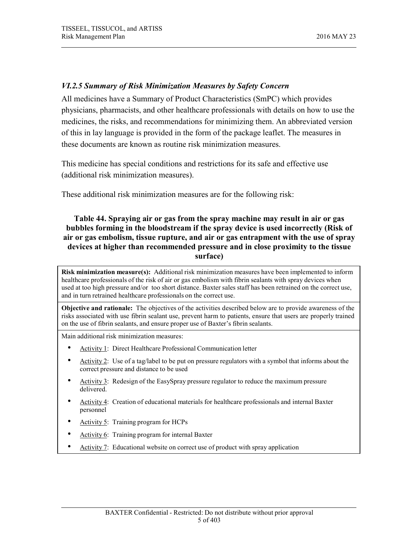# *VI.2.5 Summary of Risk Minimization Measures by Safety Concern*

All medicines have a Summary of Product Characteristics (SmPC) which provides physicians, pharmacists, and other healthcare professionals with details on how to use the medicines, the risks, and recommendations for minimizing them. An abbreviated version of this in lay language is provided in the form of the package leaflet. The measures in these documents are known as routine risk minimization measures.

This medicine has special conditions and restrictions for its safe and effective use (additional risk minimization measures).

These additional risk minimization measures are for the following risk:

#### **Table 44. Spraying air or gas from the spray machine may result in air or gas bubbles forming in the bloodstream if the spray device is used incorrectly (Risk of air or gas embolism, tissue rupture, and air or gas entrapment with the use of spray devices at higher than recommended pressure and in close proximity to the tissue surface)**

**Risk minimization measure(s):** Additional risk minimization measures have been implemented to inform healthcare professionals of the risk of air or gas embolism with fibrin sealants with spray devices when used at too high pressure and/or too short distance. Baxter sales staff has been retrained on the correct use, and in turn retrained healthcare professionals on the correct use.

**Objective and rationale:** The objectives of the activities described below are to provide awareness of the risks associated with use fibrin sealant use, prevent harm to patients, ensure that users are properly trained on the use of fibrin sealants, and ensure proper use of Baxter's fibrin sealants.

Main additional risk minimization measures:

- Activity 1: Direct Healthcare Professional Communication letter
- Activity 2: Use of a tag/label to be put on pressure regulators with a symbol that informs about the correct pressure and distance to be used
- Activity 3: Redesign of the EasySpray pressure regulator to reduce the maximum pressure delivered.
- Activity 4: Creation of educational materials for healthcare professionals and internal Baxter personnel
- Activity 5: Training program for HCPs
- Activity 6: Training program for internal Baxter
- Activity 7: Educational website on correct use of product with spray application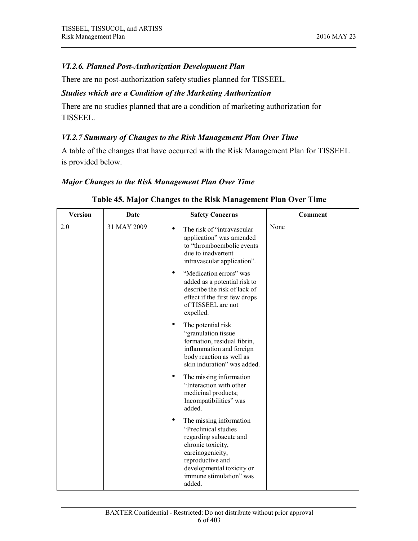### *VI.2.6. Planned Post-Authorization Development Plan*

There are no post-authorization safety studies planned for TISSEEL.

### *Studies which are a Condition of the Marketing Authorization*

There are no studies planned that are a condition of marketing authorization for TISSEEL.

### *VI.2.7 Summary of Changes to the Risk Management Plan Over Time*

A table of the changes that have occurred with the Risk Management Plan for TISSEEL is provided below.

#### *Major Changes to the Risk Management Plan Over Time*

| <b>Version</b> | Date        | <b>Safety Concerns</b>                                                                                                                                                                                   | Comment |
|----------------|-------------|----------------------------------------------------------------------------------------------------------------------------------------------------------------------------------------------------------|---------|
| 2.0            | 31 MAY 2009 | The risk of "intravascular"<br>application" was amended<br>to "thromboembolic events<br>due to inadvertent<br>intravascular application".                                                                | None    |
|                |             | "Medication errors" was<br>added as a potential risk to<br>describe the risk of lack of<br>effect if the first few drops<br>of TISSEEL are not<br>expelled.                                              |         |
|                |             | The potential risk<br>"granulation tissue<br>formation, residual fibrin,<br>inflammation and foreign<br>body reaction as well as<br>skin induration" was added.                                          |         |
|                |             | The missing information<br>"Interaction with other<br>medicinal products;<br>Incompatibilities" was<br>added.                                                                                            |         |
|                |             | The missing information<br>"Preclinical studies<br>regarding subacute and<br>chronic toxicity,<br>carcinogenicity,<br>reproductive and<br>developmental toxicity or<br>immune stimulation" was<br>added. |         |

#### **Table 45. Major Changes to the Risk Management Plan Over Time**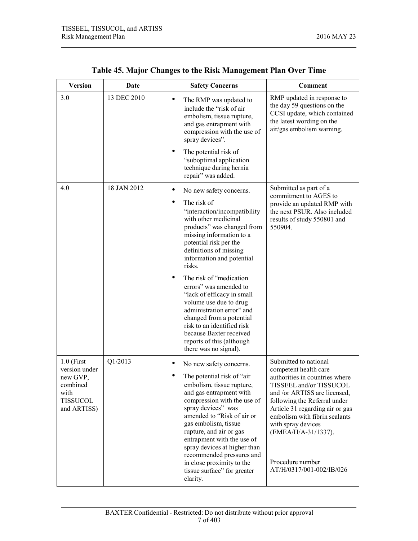| <b>Version</b>                                                                  | Date        | <b>Safety Concerns</b>                                                                                                                                                                                                                                                                                                                                                                                                                                                                                                     | <b>Comment</b>                                                                                                                                                                                                                                                                                                      |  |
|---------------------------------------------------------------------------------|-------------|----------------------------------------------------------------------------------------------------------------------------------------------------------------------------------------------------------------------------------------------------------------------------------------------------------------------------------------------------------------------------------------------------------------------------------------------------------------------------------------------------------------------------|---------------------------------------------------------------------------------------------------------------------------------------------------------------------------------------------------------------------------------------------------------------------------------------------------------------------|--|
| 3.0                                                                             | 13 DEC 2010 | $\bullet$<br>The RMP was updated to<br>include the "risk of air<br>embolism, tissue rupture,<br>and gas entrapment with<br>compression with the use of<br>spray devices".                                                                                                                                                                                                                                                                                                                                                  | RMP updated in response to<br>the day 59 questions on the<br>CCSI update, which contained<br>the latest wording on the<br>air/gas embolism warning.                                                                                                                                                                 |  |
|                                                                                 |             | The potential risk of<br>"suboptimal application<br>technique during hernia<br>repair" was added.                                                                                                                                                                                                                                                                                                                                                                                                                          |                                                                                                                                                                                                                                                                                                                     |  |
| 4.0                                                                             | 18 JAN 2012 | ٠<br>No new safety concerns.<br>The risk of<br>٠<br>"interaction/incompatibility<br>with other medicinal<br>products" was changed from<br>missing information to a<br>potential risk per the<br>definitions of missing<br>information and potential<br>risks.<br>The risk of "medication"<br>errors" was amended to<br>"lack of efficacy in small<br>volume use due to drug<br>administration error" and<br>changed from a potential<br>risk to an identified risk<br>because Baxter received<br>reports of this (although | Submitted as part of a<br>commitment to AGES to<br>provide an updated RMP with<br>the next PSUR. Also included<br>results of study 550801 and<br>550904.                                                                                                                                                            |  |
| $1.0$ (First                                                                    | Q1/2013     | there was no signal).<br>No new safety concerns.                                                                                                                                                                                                                                                                                                                                                                                                                                                                           | Submitted to national                                                                                                                                                                                                                                                                                               |  |
| version under<br>new GVP,<br>combined<br>with<br><b>TISSUCOL</b><br>and ARTISS) |             | The potential risk of "air"<br>embolism, tissue rupture.<br>and gas entrapment with<br>compression with the use of<br>spray devices" was<br>amended to "Risk of air or<br>gas embolism, tissue<br>rupture, and air or gas<br>entrapment with the use of<br>spray devices at higher than<br>recommended pressures and<br>in close proximity to the<br>tissue surface" for greater<br>clarity.                                                                                                                               | competent health care<br>authorities in countries where<br>TISSEEL and/or TISSUCOL<br>and /or ARTISS are licensed,<br>following the Referral under<br>Article 31 regarding air or gas<br>embolism with fibrin sealants<br>with spray devices<br>(EMEA/H/A-31/1337).<br>Procedure number<br>AT/H/0317/001-002/IB/026 |  |

| Table 45. Major Changes to the Risk Management Plan Over Time |
|---------------------------------------------------------------|
|---------------------------------------------------------------|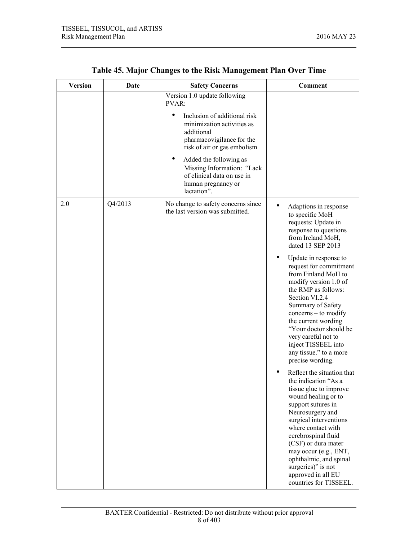| <b>Version</b> | Date    | <b>Safety Concerns</b>                                                                                                                                                                                                                                                                                             | Comment                                                                                                                                                                                                                                                                                                                                                                                                                                                                                                                                                                                                                                                                                                                                                                                                                                                       |
|----------------|---------|--------------------------------------------------------------------------------------------------------------------------------------------------------------------------------------------------------------------------------------------------------------------------------------------------------------------|---------------------------------------------------------------------------------------------------------------------------------------------------------------------------------------------------------------------------------------------------------------------------------------------------------------------------------------------------------------------------------------------------------------------------------------------------------------------------------------------------------------------------------------------------------------------------------------------------------------------------------------------------------------------------------------------------------------------------------------------------------------------------------------------------------------------------------------------------------------|
|                |         | Version 1.0 update following<br>PVAR:<br>Inclusion of additional risk<br>٠<br>minimization activities as<br>additional<br>pharmacovigilance for the<br>risk of air or gas embolism<br>٠<br>Added the following as<br>Missing Information: "Lack<br>of clinical data on use in<br>human pregnancy or<br>lactation". |                                                                                                                                                                                                                                                                                                                                                                                                                                                                                                                                                                                                                                                                                                                                                                                                                                                               |
| 2.0            | Q4/2013 | No change to safety concerns since<br>the last version was submitted.                                                                                                                                                                                                                                              | $\bullet$<br>Adaptions in response<br>to specific MoH<br>requests: Update in<br>response to questions<br>from Ireland MoH,<br>dated 13 SEP 2013<br>Update in response to<br>request for commitment<br>from Finland MoH to<br>modify version 1.0 of<br>the RMP as follows:<br>Section VI.2.4<br>Summary of Safety<br>concerns – to modify<br>the current wording<br>"Your doctor should be<br>very careful not to<br>inject TISSEEL into<br>any tissue." to a more<br>precise wording.<br>Reflect the situation that<br>the indication "As a<br>tissue glue to improve<br>wound healing or to<br>support sutures in<br>Neurosurgery and<br>surgical interventions<br>where contact with<br>cerebrospinal fluid<br>(CSF) or dura mater<br>may occur (e.g., ENT,<br>ophthalmic, and spinal<br>surgeries)" is not<br>approved in all EU<br>countries for TISSEEL. |

# **Table 45. Major Changes to the Risk Management Plan Over Time**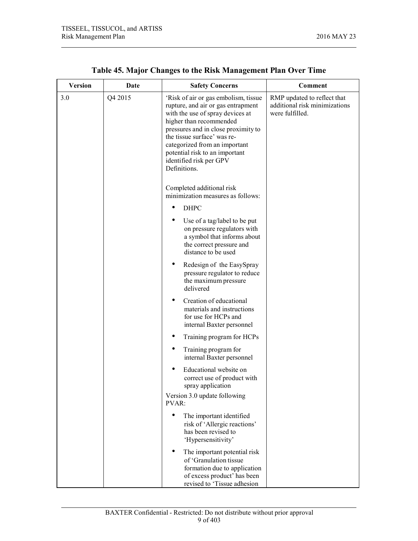| <b>Version</b> | Date    | <b>Safety Concerns</b>                                                                                                                                                                                                                                                                                                        | <b>Comment</b>                                                                  |
|----------------|---------|-------------------------------------------------------------------------------------------------------------------------------------------------------------------------------------------------------------------------------------------------------------------------------------------------------------------------------|---------------------------------------------------------------------------------|
| 3.0            | Q4 2015 | 'Risk of air or gas embolism, tissue<br>rupture, and air or gas entrapment<br>with the use of spray devices at<br>higher than recommended<br>pressures and in close proximity to<br>the tissue surface' was re-<br>categorized from an important<br>potential risk to an important<br>identified risk per GPV<br>Definitions. | RMP updated to reflect that<br>additional risk minimizations<br>were fulfilled. |
|                |         | Completed additional risk<br>minimization measures as follows:                                                                                                                                                                                                                                                                |                                                                                 |
|                |         | <b>DHPC</b><br>٠                                                                                                                                                                                                                                                                                                              |                                                                                 |
|                |         | Use of a tag/label to be put<br>on pressure regulators with<br>a symbol that informs about<br>the correct pressure and<br>distance to be used                                                                                                                                                                                 |                                                                                 |
|                |         | ٠<br>Redesign of the EasySpray<br>pressure regulator to reduce<br>the maximum pressure<br>delivered                                                                                                                                                                                                                           |                                                                                 |
|                |         | ٠<br>Creation of educational<br>materials and instructions<br>for use for HCPs and<br>internal Baxter personnel                                                                                                                                                                                                               |                                                                                 |
|                |         | Training program for HCPs                                                                                                                                                                                                                                                                                                     |                                                                                 |
|                |         | Training program for<br>internal Baxter personnel                                                                                                                                                                                                                                                                             |                                                                                 |
|                |         | Educational website on<br>correct use of product with<br>spray application                                                                                                                                                                                                                                                    |                                                                                 |
|                |         | Version 3.0 update following<br>PVAR:                                                                                                                                                                                                                                                                                         |                                                                                 |
|                |         | The important identified<br>risk of 'Allergic reactions'<br>has been revised to<br>'Hypersensitivity'                                                                                                                                                                                                                         |                                                                                 |
|                |         | The important potential risk<br>of 'Granulation tissue<br>formation due to application<br>of excess product' has been<br>revised to 'Tissue adhesion                                                                                                                                                                          |                                                                                 |

## **Table 45. Major Changes to the Risk Management Plan Over Time**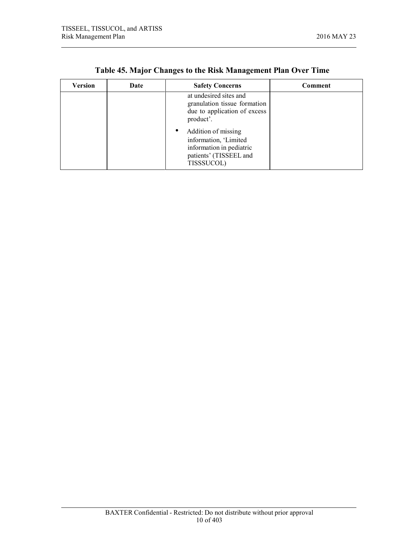| Version | Date | <b>Safety Concerns</b>                                                                                                                                                                                                  | Comment |
|---------|------|-------------------------------------------------------------------------------------------------------------------------------------------------------------------------------------------------------------------------|---------|
|         |      | at undesired sites and<br>granulation tissue formation<br>due to application of excess<br>product'.<br>Addition of missing<br>information, 'Limited<br>information in pediatric<br>patients' (TISSEEL and<br>TISSSUCOL) |         |

|  |  | Table 45. Major Changes to the Risk Management Plan Over Time |  |
|--|--|---------------------------------------------------------------|--|
|  |  |                                                               |  |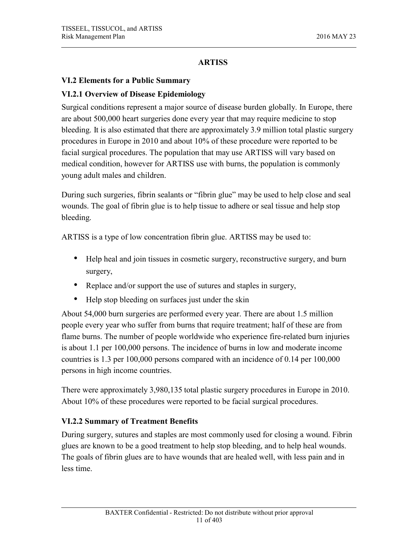# **ARTISS**

# **VI.2 Elements for a Public Summary**

### **VI.2.1 Overview of Disease Epidemiology**

Surgical conditions represent a major source of disease burden globally. In Europe, there are about 500,000 heart surgeries done every year that may require medicine to stop bleeding. It is also estimated that there are approximately 3.9 million total plastic surgery procedures in Europe in 2010 and about 10% of these procedure were reported to be facial surgical procedures. The population that may use ARTISS will vary based on medical condition, however for ARTISS use with burns, the population is commonly young adult males and children.

During such surgeries, fibrin sealants or "fibrin glue" may be used to help close and seal wounds. The goal of fibrin glue is to help tissue to adhere or seal tissue and help stop bleeding.

ARTISS is a type of low concentration fibrin glue. ARTISS may be used to:

- Help heal and join tissues in cosmetic surgery, reconstructive surgery, and burn surgery,
- Replace and/or support the use of sutures and staples in surgery,
- Help stop bleeding on surfaces just under the skin

About 54,000 burn surgeries are performed every year. There are about 1.5 million people every year who suffer from burns that require treatment; half of these are from flame burns. The number of people worldwide who experience fire-related burn injuries is about 1.1 per 100,000 persons. The incidence of burns in low and moderate income countries is 1.3 per 100,000 persons compared with an incidence of 0.14 per 100,000 persons in high income countries.

There were approximately 3,980,135 total plastic surgery procedures in Europe in 2010. About 10% of these procedures were reported to be facial surgical procedures.

### **VI.2.2 Summary of Treatment Benefits**

During surgery, sutures and staples are most commonly used for closing a wound. Fibrin glues are known to be a good treatment to help stop bleeding, and to help heal wounds. The goals of fibrin glues are to have wounds that are healed well, with less pain and in less time.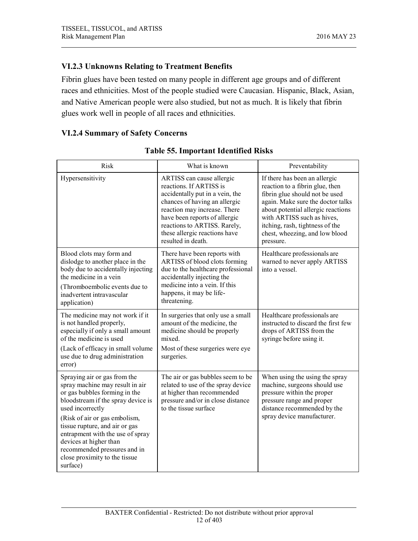# **VI.2.3 Unknowns Relating to Treatment Benefits**

Fibrin glues have been tested on many people in different age groups and of different races and ethnicities. Most of the people studied were Caucasian. Hispanic, Black, Asian, and Native American people were also studied, but not as much. It is likely that fibrin glues work well in people of all races and ethnicities.

## **VI.2.4 Summary of Safety Concerns**

| Risk                                                                                                                                                                                                                                                                                                                                                                     | What is known                                                                                                                                                                                                                                                                    | Preventability                                                                                                                                                                                                                                                                                |
|--------------------------------------------------------------------------------------------------------------------------------------------------------------------------------------------------------------------------------------------------------------------------------------------------------------------------------------------------------------------------|----------------------------------------------------------------------------------------------------------------------------------------------------------------------------------------------------------------------------------------------------------------------------------|-----------------------------------------------------------------------------------------------------------------------------------------------------------------------------------------------------------------------------------------------------------------------------------------------|
| Hypersensitivity                                                                                                                                                                                                                                                                                                                                                         | ARTISS can cause allergic<br>reactions. If ARTISS is<br>accidentally put in a vein, the<br>chances of having an allergic<br>reaction may increase. There<br>have been reports of allergic<br>reactions to ARTISS. Rarely,<br>these allergic reactions have<br>resulted in death. | If there has been an allergic<br>reaction to a fibrin glue, then<br>fibrin glue should not be used<br>again. Make sure the doctor talks<br>about potential allergic reactions<br>with ARTISS such as hives,<br>itching, rash, tightness of the<br>chest, wheezing, and low blood<br>pressure. |
| Blood clots may form and<br>dislodge to another place in the<br>body due to accidentally injecting<br>the medicine in a vein<br>(Thromboembolic events due to<br>inadvertent intravascular<br>application)                                                                                                                                                               | There have been reports with<br>ARTISS of blood clots forming<br>due to the healthcare professional<br>accidentally injecting the<br>medicine into a vein. If this<br>happens, it may be life-<br>threatening.                                                                   | Healthcare professionals are<br>warned to never apply ARTISS<br>into a vessel.                                                                                                                                                                                                                |
| The medicine may not work if it<br>is not handled properly,<br>especially if only a small amount<br>of the medicine is used<br>(Lack of efficacy in small volume<br>use due to drug administration<br>error)                                                                                                                                                             | In surgeries that only use a small<br>amount of the medicine, the<br>medicine should be properly<br>mixed.<br>Most of these surgeries were eye<br>surgeries.                                                                                                                     | Healthcare professionals are<br>instructed to discard the first few<br>drops of ARTISS from the<br>syringe before using it.                                                                                                                                                                   |
| Spraying air or gas from the<br>spray machine may result in air<br>or gas bubbles forming in the<br>bloodstream if the spray device is<br>used incorrectly<br>(Risk of air or gas embolism,<br>tissue rupture, and air or gas<br>entrapment with the use of spray<br>devices at higher than<br>recommended pressures and in<br>close proximity to the tissue<br>surface) | The air or gas bubbles seem to be<br>related to use of the spray device<br>at higher than recommended<br>pressure and/or in close distance<br>to the tissue surface                                                                                                              | When using the using the spray<br>machine, surgeons should use<br>pressure within the proper<br>pressure range and proper<br>distance recommended by the<br>spray device manufacturer.                                                                                                        |

### **Table 55. Important Identified Risks**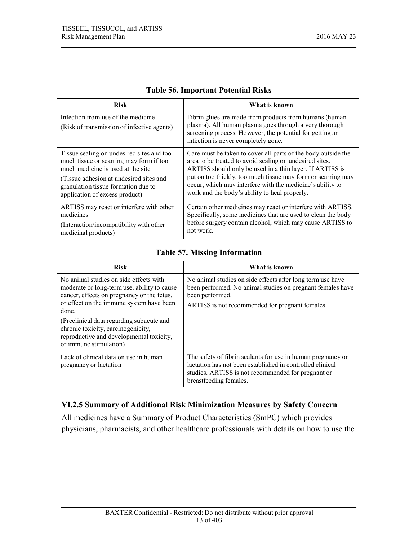| <b>Risk</b>                                                                      | What is known                                                                                                                                                                                                       |
|----------------------------------------------------------------------------------|---------------------------------------------------------------------------------------------------------------------------------------------------------------------------------------------------------------------|
| Infection from use of the medicine<br>(Risk of transmission of infective agents) | Fibrin glues are made from products from humans (human<br>plasma). All human plasma goes through a very thorough<br>screening process. However, the potential for getting an<br>infection is never completely gone. |
| Tissue sealing on undesired sites and too                                        | Care must be taken to cover all parts of the body outside the                                                                                                                                                       |
| much tissue or scarring may form if too                                          | area to be treated to avoid sealing on undesired sites.                                                                                                                                                             |
| much medicine is used at the site                                                | ARTISS should only be used in a thin layer. If ARTISS is                                                                                                                                                            |
| (Tissue adhesion at undesired sites and                                          | put on too thickly, too much tissue may form or scarring may                                                                                                                                                        |
| granulation tissue formation due to                                              | occur, which may interfere with the medicine's ability to                                                                                                                                                           |
| application of excess product)                                                   | work and the body's ability to heal properly.                                                                                                                                                                       |
| ARTISS may react or interfere with other                                         | Certain other medicines may react or interfere with ARTISS.                                                                                                                                                         |
| medicines                                                                        | Specifically, some medicines that are used to clean the body                                                                                                                                                        |
| (Interaction/incompatibility with other)                                         | before surgery contain alcohol, which may cause ARTISS to                                                                                                                                                           |
| medicinal products)                                                              | not work.                                                                                                                                                                                                           |

### **Table 56. Important Potential Risks**

#### **Table 57. Missing Information**

| <b>Risk</b>                                                                                                                                                                                                                          | What is known                                                                                                                                                                                            |
|--------------------------------------------------------------------------------------------------------------------------------------------------------------------------------------------------------------------------------------|----------------------------------------------------------------------------------------------------------------------------------------------------------------------------------------------------------|
| No animal studies on side effects with<br>moderate or long-term use, ability to cause<br>cancer, effects on pregnancy or the fetus,<br>or effect on the immune system have been<br>done.<br>(Preclinical data regarding subacute and | No animal studies on side effects after long term use have<br>been performed. No animal studies on pregnant females have<br>been performed.<br>ARTISS is not recommended for pregnant females.           |
| chronic toxicity, carcinogenicity,<br>reproductive and developmental toxicity,<br>or immune stimulation)                                                                                                                             |                                                                                                                                                                                                          |
| Lack of clinical data on use in human<br>pregnancy or lactation                                                                                                                                                                      | The safety of fibrin sealants for use in human pregnancy or<br>lactation has not been established in controlled clinical<br>studies. ARTISS is not recommended for pregnant or<br>breastfeeding females. |

### **VI.2.5 Summary of Additional Risk Minimization Measures by Safety Concern**

All medicines have a Summary of Product Characteristics (SmPC) which provides physicians, pharmacists, and other healthcare professionals with details on how to use the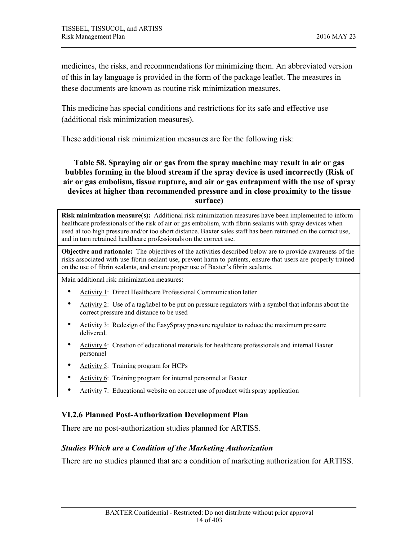medicines, the risks, and recommendations for minimizing them. An abbreviated version of this in lay language is provided in the form of the package leaflet. The measures in these documents are known as routine risk minimization measures.

This medicine has special conditions and restrictions for its safe and effective use (additional risk minimization measures).

These additional risk minimization measures are for the following risk:

### **Table 58. Spraying air or gas from the spray machine may result in air or gas bubbles forming in the blood stream if the spray device is used incorrectly (Risk of air or gas embolism, tissue rupture, and air or gas entrapment with the use of spray devices at higher than recommended pressure and in close proximity to the tissue surface)**

**Risk minimization measure(s):** Additional risk minimization measures have been implemented to inform healthcare professionals of the risk of air or gas embolism, with fibrin sealants with spray devices when used at too high pressure and/or too short distance. Baxter sales staff has been retrained on the correct use, and in turn retrained healthcare professionals on the correct use.

**Objective and rationale:** The objectives of the activities described below are to provide awareness of the risks associated with use fibrin sealant use, prevent harm to patients, ensure that users are properly trained on the use of fibrin sealants, and ensure proper use of Baxter's fibrin sealants.

Main additional risk minimization measures:

- Activity 1: Direct Healthcare Professional Communication letter
- Activity 2: Use of a tag/label to be put on pressure regulators with a symbol that informs about the correct pressure and distance to be used
- Activity 3: Redesign of the EasySpray pressure regulator to reduce the maximum pressure delivered.
- Activity 4: Creation of educational materials for healthcare professionals and internal Baxter personnel
- Activity 5: Training program for HCPs
- Activity 6: Training program for internal personnel at Baxter
- Activity 7: Educational website on correct use of product with spray application

### **VI.2.6 Planned Post-Authorization Development Plan**

There are no post-authorization studies planned for ARTISS.

#### *Studies Which are a Condition of the Marketing Authorization*

There are no studies planned that are a condition of marketing authorization for ARTISS.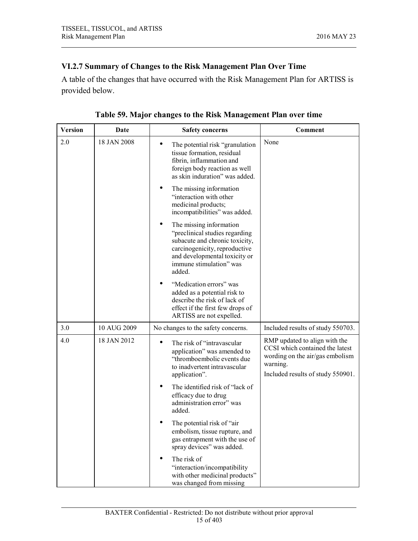# **VI.2.7 Summary of Changes to the Risk Management Plan Over Time**

A table of the changes that have occurred with the Risk Management Plan for ARTISS is provided below.

| <b>Version</b> | Date        | <b>Safety concerns</b>                                                                                                                                                                             | Comment                                                                                                                                              |
|----------------|-------------|----------------------------------------------------------------------------------------------------------------------------------------------------------------------------------------------------|------------------------------------------------------------------------------------------------------------------------------------------------------|
| 2.0            | 18 JAN 2008 | The potential risk "granulation<br>tissue formation, residual<br>fibrin, inflammation and<br>foreign body reaction as well<br>as skin induration" was added.                                       | None                                                                                                                                                 |
|                |             | The missing information<br>"interaction with other<br>medicinal products;<br>incompatibilities" was added.                                                                                         |                                                                                                                                                      |
|                |             | The missing information<br>"preclinical studies regarding<br>subacute and chronic toxicity,<br>carcinogenicity, reproductive<br>and developmental toxicity or<br>immune stimulation" was<br>added. |                                                                                                                                                      |
|                |             | "Medication errors" was<br>added as a potential risk to<br>describe the risk of lack of<br>effect if the first few drops of<br>ARTISS are not expelled.                                            |                                                                                                                                                      |
| 3.0            | 10 AUG 2009 | No changes to the safety concerns.                                                                                                                                                                 | Included results of study 550703.                                                                                                                    |
| 4.0            | 18 JAN 2012 | The risk of "intravascular<br>application" was amended to<br>"thromboembolic events due<br>to inadvertent intravascular<br>application".                                                           | RMP updated to align with the<br>CCSI which contained the latest<br>wording on the air/gas embolism<br>warning.<br>Included results of study 550901. |
|                |             | The identified risk of "lack of<br>efficacy due to drug<br>administration error" was<br>added.                                                                                                     |                                                                                                                                                      |
|                |             | The potential risk of "air"<br>embolism, tissue rupture, and<br>gas entrapment with the use of<br>spray devices" was added.                                                                        |                                                                                                                                                      |
|                |             | The risk of<br>"interaction/incompatibility<br>with other medicinal products"<br>was changed from missing                                                                                          |                                                                                                                                                      |

**Table 59. Major changes to the Risk Management Plan over time**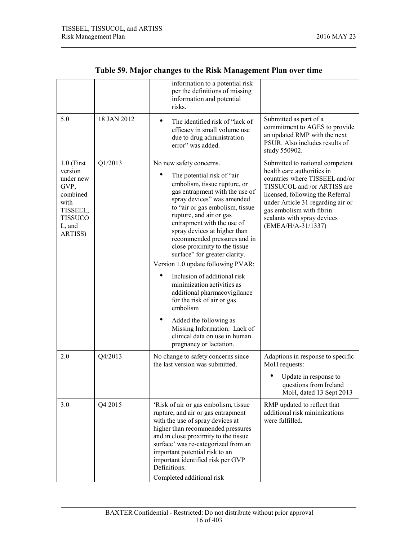|                                                                                                                     |             | information to a potential risk<br>per the definitions of missing<br>information and potential<br>risks.                                                                                                                                                                                                                                                                                                                                                                                                                                                                                                                                                                                 |                                                                                                                                                                                                                                                                                          |
|---------------------------------------------------------------------------------------------------------------------|-------------|------------------------------------------------------------------------------------------------------------------------------------------------------------------------------------------------------------------------------------------------------------------------------------------------------------------------------------------------------------------------------------------------------------------------------------------------------------------------------------------------------------------------------------------------------------------------------------------------------------------------------------------------------------------------------------------|------------------------------------------------------------------------------------------------------------------------------------------------------------------------------------------------------------------------------------------------------------------------------------------|
| 5.0                                                                                                                 | 18 JAN 2012 | $\bullet$<br>The identified risk of "lack of<br>efficacy in small volume use<br>due to drug administration<br>error" was added.                                                                                                                                                                                                                                                                                                                                                                                                                                                                                                                                                          | Submitted as part of a<br>commitment to AGES to provide<br>an updated RMP with the next<br>PSUR. Also includes results of<br>study 550902.                                                                                                                                               |
| $1.0$ (First<br>version<br>under new<br>GVP,<br>combined<br>with<br>TISSEEL,<br><b>TISSUCO</b><br>L, and<br>ARTISS) | Q1/2013     | No new safety concerns.<br>The potential risk of "air"<br>embolism, tissue rupture, or<br>gas entrapment with the use of<br>spray devices" was amended<br>to "air or gas embolism, tissue<br>rupture, and air or gas<br>entrapment with the use of<br>spray devices at higher than<br>recommended pressures and in<br>close proximity to the tissue<br>surface" for greater clarity.<br>Version 1.0 update following PVAR:<br>Inclusion of additional risk<br>minimization activities as<br>additional pharmacovigilance<br>for the risk of air or gas<br>embolism<br>Added the following as<br>Missing Information: Lack of<br>clinical data on use in human<br>pregnancy or lactation. | Submitted to national competent<br>health care authorities in<br>countries where TISSEEL and/or<br>TISSUCOL and /or ARTISS are<br>licensed, following the Referral<br>under Article 31 regarding air or<br>gas embolism with fibrin<br>sealants with spray devices<br>(EMEA/H/A-31/1337) |
| 2.0                                                                                                                 | Q4/2013     | No change to safety concerns since<br>the last version was submitted.                                                                                                                                                                                                                                                                                                                                                                                                                                                                                                                                                                                                                    | Adaptions in response to specific<br>MoH requests:<br>Update in response to<br>questions from Ireland<br>MoH, dated 13 Sept 2013                                                                                                                                                         |
| 3.0                                                                                                                 | Q4 2015     | 'Risk of air or gas embolism, tissue<br>rupture, and air or gas entrapment<br>with the use of spray devices at<br>higher than recommended pressures<br>and in close proximity to the tissue<br>surface' was re-categorized from an<br>important potential risk to an<br>important identified risk per GVP<br>Definitions.<br>Completed additional risk                                                                                                                                                                                                                                                                                                                                   | RMP updated to reflect that<br>additional risk minimizations<br>were fulfilled.                                                                                                                                                                                                          |

# **Table 59. Major changes to the Risk Management Plan over time**